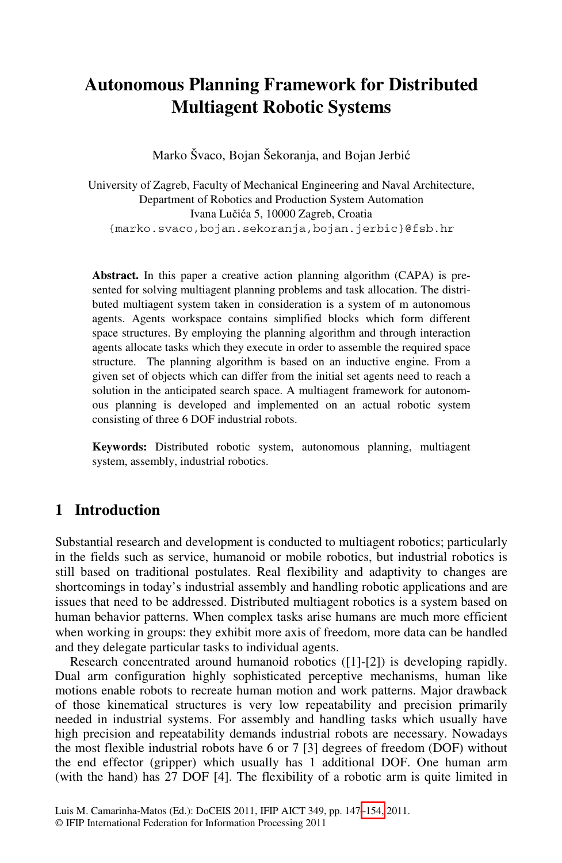# **Autonomous Planning Framework for Distributed Multiagent Robotic Systems**

Marko Švaco, Bojan Šekoranja, and Bojan Jerbić

University of Zagreb, Faculty of Mechanical Engineering and Naval Architecture, Department of Robotics and Production System Automation Ivana Lučića 5, 10000 Zagreb, Croatia {marko.svaco,bojan.sekoranja,bojan.jerbic}@fsb.hr

**Abstract.** In this paper a creative action planning algorithm (CAPA) is presented for solving multiagent planning problems and task allocation. The distributed multiagent system taken in consideration is a system of m autonomous agents. Agents workspace contains simplified blocks which form different space structures. By employing the planning algorithm and through interaction agents allocate tasks which they execute in order to assemble the required space structure. The planning algorithm is based on an inductive engine. From a given set of objects which can differ from the initial set agents need to reach a solution in the anticipated search space. A multiagent framework for autonomous planning is developed and implemented on an actual robotic system consisting of three 6 DOF industrial robots.

**Keywords:** Distributed robotic system, autonomous planning, multiagent system, assembly, industrial robotics.

### **1 Introduction**

Substantial research and development is conducted to multiagent robotics; particularly in the fields such as service, humanoid or mobile robotics, but industrial robotics is still based on traditional postulates. Real flexibility and adaptivity to changes are shortcomings in today's industrial assembly and handling robotic applications and are issues that need to be addressed. Distributed multiagent robotics is a system based on human behavior patterns. When complex tasks arise humans are much more efficient when working in groups: they exhibit more axis of freedom, more data can be handled and they delegate particular tasks to individual agents.

Research concentrated around humanoid robotics ([1]-[2]) is developing rapidly. Dual arm configuration highly sophisticated perceptive mechanisms, human like motions enable robots to recreate hu[man m](#page-7-0)otion and work patterns. Major drawback of those kinematical structures is very low repeatability and precision primarily needed in industrial systems. For assembly and handling tasks which usually have high precision and repeatability demands industrial robots are necessary. Nowadays the most flexible industrial robots have 6 or 7 [3] degrees of freedom (DOF) without the end effector (gripper) which usually has 1 additional DOF. One human arm (with the hand) has 27 DOF [4]. The flexibility of a robotic arm is quite limited in

Luis M. Camarinha-Matos (Ed.): DoCEIS 2011, IFIP AICT 349, pp. 147–154, 2011.

<sup>©</sup> IFIP International Federation for Information Processing 2011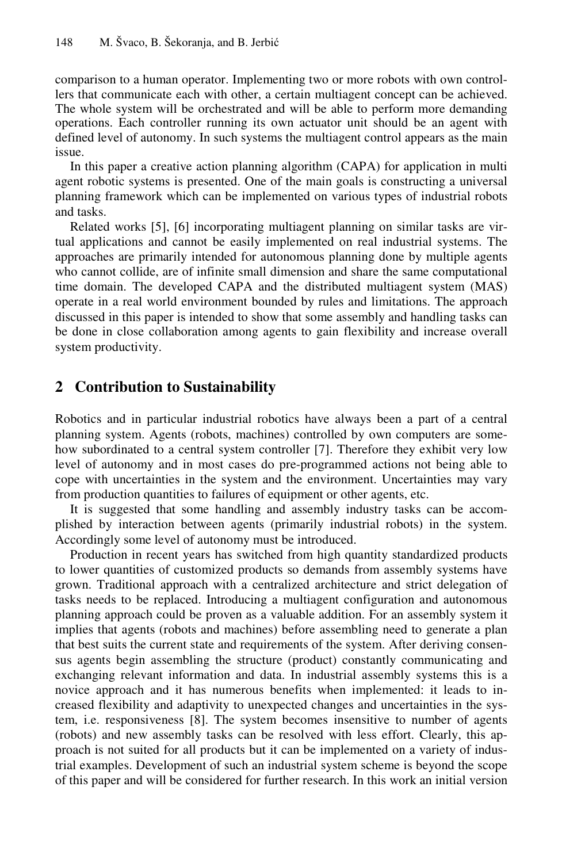comparison to a human operator. Implementing two or more robots with own controllers that communicate each with other, a certain multiagent concept can be achieved. The whole system will be orchestrated and will be able to perform more demanding operations. Each controller running its own actuator unit should be an agent with defined level of autonomy. In such systems the multiagent control appears as the main issue.

In this paper a creative action planning algorithm (CAPA) for application in multi agent robotic systems is presented. One of the main goals is constructing a universal planning framework which can be implemented on various types of industrial robots and tasks.

Related works [5], [6] incorporating multiagent planning on similar tasks are virtual applications and cannot be easily implemented on real industrial systems. The approaches are primarily intended for autonomous planning done by multiple agents who cannot collide, are of infinite small dimension and share the same computational time domain. The developed CAPA and the distributed multiagent system (MAS) operate in a real world environment bounded by rules and limitations. The approach discussed in this paper is intended to show that some assembly and handling tasks can be done in close collaboration among agents to gain flexibility and increase overall system productivity.

## **2 Contribution to Sustainability**

Robotics and in particular industrial robotics have always been a part of a central planning system. Agents (robots, machines) controlled by own computers are somehow subordinated to a central system controller [7]. Therefore they exhibit very low level of autonomy and in most cases do pre-programmed actions not being able to cope with uncertainties in the system and the environment. Uncertainties may vary from production quantities to failures of equipment or other agents, etc.

It is suggested that some handling and assembly industry tasks can be accomplished by interaction between agents (primarily industrial robots) in the system. Accordingly some level of autonomy must be introduced.

Production in recent years has switched from high quantity standardized products to lower quantities of customized products so demands from assembly systems have grown. Traditional approach with a centralized architecture and strict delegation of tasks needs to be replaced. Introducing a multiagent configuration and autonomous planning approach could be proven as a valuable addition. For an assembly system it implies that agents (robots and machines) before assembling need to generate a plan that best suits the current state and requirements of the system. After deriving consensus agents begin assembling the structure (product) constantly communicating and exchanging relevant information and data. In industrial assembly systems this is a novice approach and it has numerous benefits when implemented: it leads to increased flexibility and adaptivity to unexpected changes and uncertainties in the system, i.e. responsiveness [8]. The system becomes insensitive to number of agents (robots) and new assembly tasks can be resolved with less effort. Clearly, this approach is not suited for all products but it can be implemented on a variety of industrial examples. Development of such an industrial system scheme is beyond the scope of this paper and will be considered for further research. In this work an initial version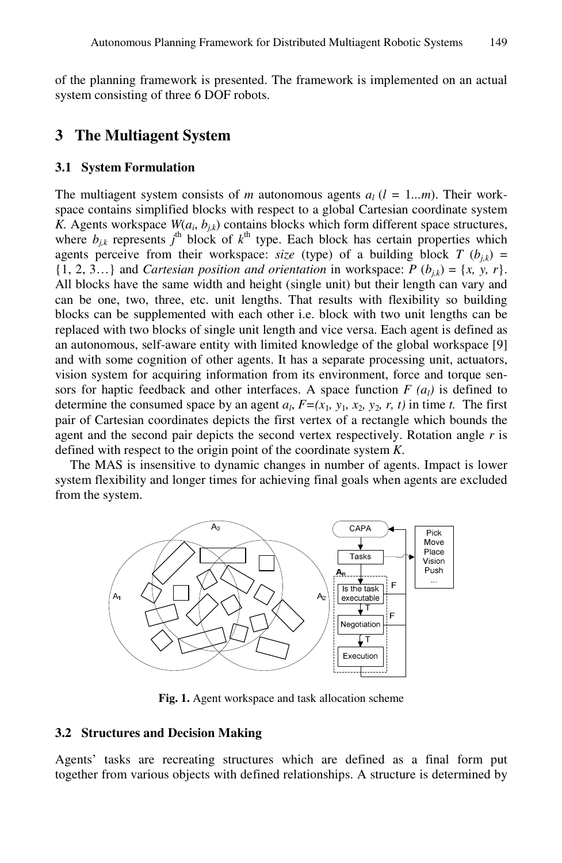of the planning framework is presented. The framework is implemented on an actual system consisting of three 6 DOF robots.

### **3 The Multiagent System**

#### **3.1 System Formulation**

The multiagent system consists of *m* autonomous agents  $a_l$  ( $l = 1...m$ ). Their workspace contains simplified blocks with respect to a global Cartesian coordinate system *K.* Agents workspace  $W(a_i, b_{i,k})$  contains blocks which form different space structures, where  $b_{j,k}$  represents  $j^{\text{th}}$  block of  $k^{\text{th}}$  type. Each block has certain properties which agents perceive from their workspace: *size* (type) of a building block  $T (b_{ik}) =$  $\{1, 2, 3...\}$  and *Cartesian position and orientation* in workspace:  $P(b_{ik}) = \{x, y, r\}.$ All blocks have the same width and height (single unit) but their length can vary and can be one, two, three, etc. unit lengths. That results with flexibility so building blocks can be supplemented with each other i.e. block with two unit lengths can be replaced with two blocks of single unit length and vice versa. Each agent is defined as an autonomous, self-aware entity with limited knowledge of the global workspace [9] and with some cognition of other agents. It has a separate processing unit, actuators, vision system for acquiring information from its environment, force and torque sensors for haptic feedback and other interfaces. A space function  $F(a<sub>l</sub>)$  is defined to determine the consumed space by an agent  $a_l$ ,  $F=(x_1, y_1, x_2, y_2, r, t)$  in time *t*. The first pair of Cartesian coordinates depicts the first vertex of a rectangle which bounds the agent and the second pair depicts the second vertex respectively. Rotation angle *r* is defined with respect to the origin point of the coordinate system *K*.

The MAS is insensitive to dynamic changes in number of agents. Impact is lower system flexibility and longer times for achieving final goals when agents are excluded from the system.



**Fig. 1.** Agent workspace and task allocation scheme

#### **3.2 Structures and Decision Making**

Agents' tasks are recreating structures which are defined as a final form put together from various objects with defined relationships. A structure is determined by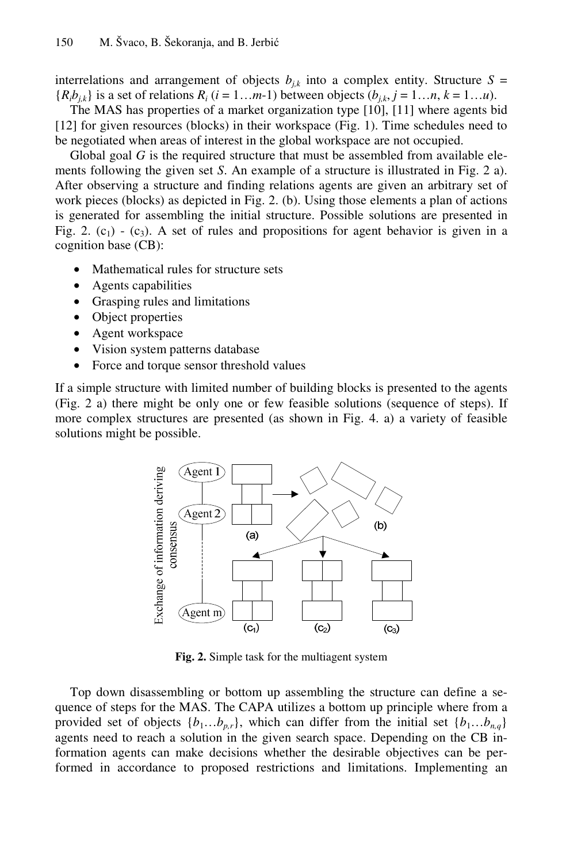interrelations and arrangement of objects  $b_{j,k}$  into a complex entity. Structure  $S =$  ${R_i b_{i,k}}$  is a set of relations  $R_i$  ( $i = 1...m-1$ ) between objects ( $b_{i,k}$ ,  $j = 1...n$ ,  $k = 1...u$ ).

The MAS has properties of a market organization type [10], [11] where agents bid [12] for given resources (blocks) in their workspace (Fig. 1). Time schedules need to be negotiated when areas of interest in the global workspace are not occupied.

Global goal *G* is the required structure that must be assembled from available elements following the given set *S*. An example of a structure is illustrated in Fig. 2 a). After observing a structure and finding relations agents are given an arbitrary set of work pieces (blocks) as depicted in Fig. 2. (b). Using those elements a plan of actions is generated for assembling the initial structure. Possible solutions are presented in Fig. 2.  $(c_1)$  -  $(c_3)$ . A set of rules and propositions for agent behavior is given in a cognition base (CB):

- Mathematical rules for structure sets
- Agents capabilities
- Grasping rules and limitations
- Object properties
- Agent workspace
- Vision system patterns database
- Force and torque sensor threshold values

If a simple structure with limited number of building blocks is presented to the agents (Fig. 2 a) there might be only one or few feasible solutions (sequence of steps). If more complex structures are presented (as shown in Fig. 4. a) a variety of feasible solutions might be possible.



**Fig. 2.** Simple task for the multiagent system

Top down disassembling or bottom up assembling the structure can define a sequence of steps for the MAS. The CAPA utilizes a bottom up principle where from a provided set of objects  $\{b_1...b_{p,r}\}$ , which can differ from the initial set  $\{b_1...b_{n,q}\}$ agents need to reach a solution in the given search space. Depending on the CB information agents can make decisions whether the desirable objectives can be performed in accordance to proposed restrictions and limitations. Implementing an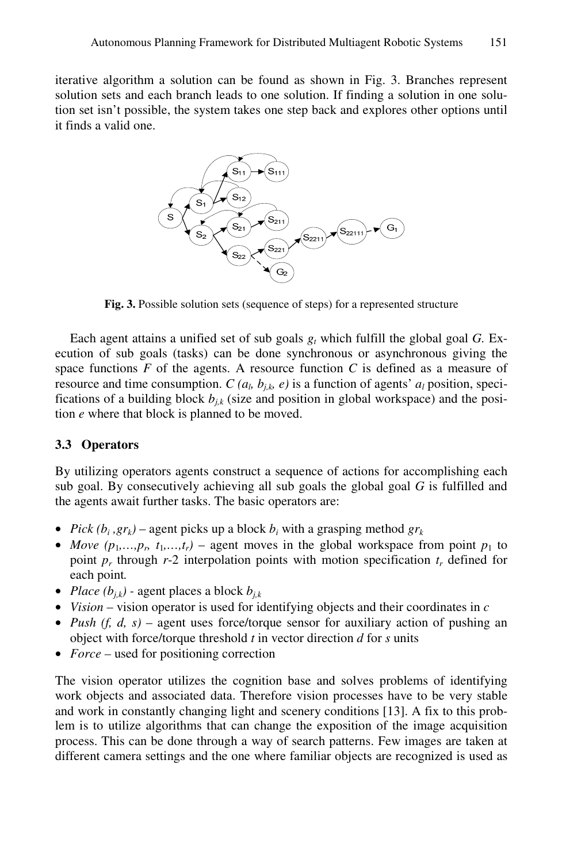iterative algorithm a solution can be found as shown in Fig. 3. Branches represent solution sets and each branch leads to one solution. If finding a solution in one solution set isn't possible, the system takes one step back and explores other options until it finds a valid one.



**Fig. 3.** Possible solution sets (sequence of steps) for a represented structure

Each agent attains a unified set of sub goals  $g_t$  which fulfill the global goal *G*. Execution of sub goals (tasks) can be done synchronous or asynchronous giving the space functions *F* of the agents. A resource function *C* is defined as a measure of resource and time consumption. *C* ( $a<sub>b</sub>$ ,  $b<sub>ib</sub>$ ,  $e$ ) is a function of agents'  $a<sub>l</sub>$  position, specifications of a building block  $b_{jk}$  (size and position in global workspace) and the position *e* where that block is planned to be moved.

#### **3.3 Operators**

By utilizing operators agents construct a sequence of actions for accomplishing each sub goal. By consecutively achieving all sub goals the global goal *G* is fulfilled and the agents await further tasks. The basic operators are:

- *Pick*  $(b_i, gr_k)$  agent picks up a block  $b_i$  with a grasping method  $gr_k$
- *Move*  $(p_1, \ldots, p_p, t_1, \ldots, t_r)$  agent moves in the global workspace from point  $p_1$  to point  $p_r$  through  $r-2$  interpolation points with motion specification  $t_r$  defined for each point*.*
- *Place*  $(b_{ik})$  agent places a block  $b_{ik}$
- *Vision* vision operator is used for identifying objects and their coordinates in *c*
- *Push (f, d, s)* agent uses force/torque sensor for auxiliary action of pushing an object with force/torque threshold *t* in vector direction *d* for *s* units
- *Force* used for positioning correction

The vision operator utilizes the cognition base and solves problems of identifying work objects and associated data. Therefore vision processes have to be very stable and work in constantly changing light and scenery conditions [13]. A fix to this problem is to utilize algorithms that can change the exposition of the image acquisition process. This can be done through a way of search patterns. Few images are taken at different camera settings and the one where familiar objects are recognized is used as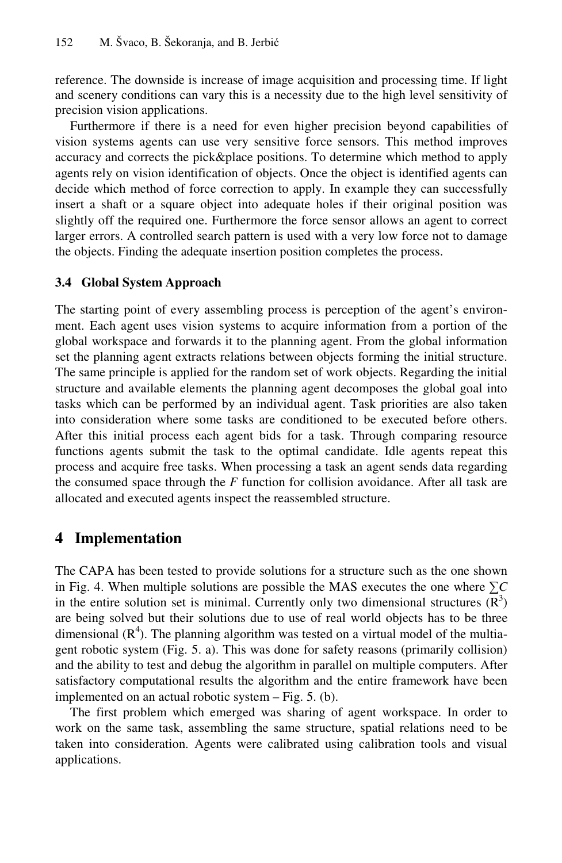reference. The downside is increase of image acquisition and processing time. If light and scenery conditions can vary this is a necessity due to the high level sensitivity of precision vision applications.

Furthermore if there is a need for even higher precision beyond capabilities of vision systems agents can use very sensitive force sensors. This method improves accuracy and corrects the pick&place positions. To determine which method to apply agents rely on vision identification of objects. Once the object is identified agents can decide which method of force correction to apply. In example they can successfully insert a shaft or a square object into adequate holes if their original position was slightly off the required one. Furthermore the force sensor allows an agent to correct larger errors. A controlled search pattern is used with a very low force not to damage the objects. Finding the adequate insertion position completes the process.

#### **3.4 Global System Approach**

The starting point of every assembling process is perception of the agent's environment. Each agent uses vision systems to acquire information from a portion of the global workspace and forwards it to the planning agent. From the global information set the planning agent extracts relations between objects forming the initial structure. The same principle is applied for the random set of work objects. Regarding the initial structure and available elements the planning agent decomposes the global goal into tasks which can be performed by an individual agent. Task priorities are also taken into consideration where some tasks are conditioned to be executed before others. After this initial process each agent bids for a task. Through comparing resource functions agents submit the task to the optimal candidate. Idle agents repeat this process and acquire free tasks. When processing a task an agent sends data regarding the consumed space through the *F* function for collision avoidance. After all task are allocated and executed agents inspect the reassembled structure.

### **4 Implementation**

The CAPA has been tested to provide solutions for a structure such as the one shown in Fig. 4. When multiple solutions are possible the MAS executes the one where ∑*C* in the entire solution set is minimal. Currently only two dimensional structures  $(R<sup>3</sup>)$ are being solved but their solutions due to use of real world objects has to be three dimensional  $(R<sup>4</sup>)$ . The planning algorithm was tested on a virtual model of the multiagent robotic system (Fig. 5. a). This was done for safety reasons (primarily collision) and the ability to test and debug the algorithm in parallel on multiple computers. After satisfactory computational results the algorithm and the entire framework have been implemented on an actual robotic system – Fig. 5. (b).

The first problem which emerged was sharing of agent workspace. In order to work on the same task, assembling the same structure, spatial relations need to be taken into consideration. Agents were calibrated using calibration tools and visual applications.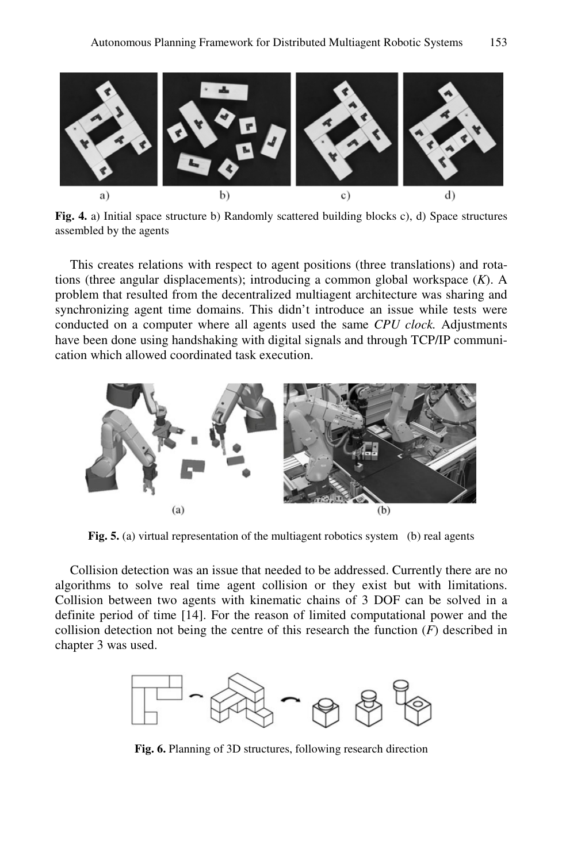

**Fig. 4.** a) Initial space structure b) Randomly scattered building blocks c), d) Space structures assembled by the agents

This creates relations with respect to agent positions (three translations) and rotations (three angular displacements); introducing a common global workspace (*K*). A problem that resulted from the decentralized multiagent architecture was sharing and synchronizing agent time domains. This didn't introduce an issue while tests were conducted on a computer where all agents used the same *CPU clock.* Adjustments have been done using handshaking with digital signals and through TCP/IP communication which allowed coordinated task execution.



Fig. 5. (a) virtual representation of the multiagent robotics system (b) real agents

Collision detection was an issue that needed to be addressed. Currently there are no algorithms to solve real time agent collision or they exist but with limitations. Collision between two agents with kinematic chains of 3 DOF can be solved in a definite period of time [14]. For the reason of limited computational power and the collision detection not being the centre of this research the function (*F*) described in chapter 3 was used.



**Fig. 6.** Planning of 3D structures, following research direction